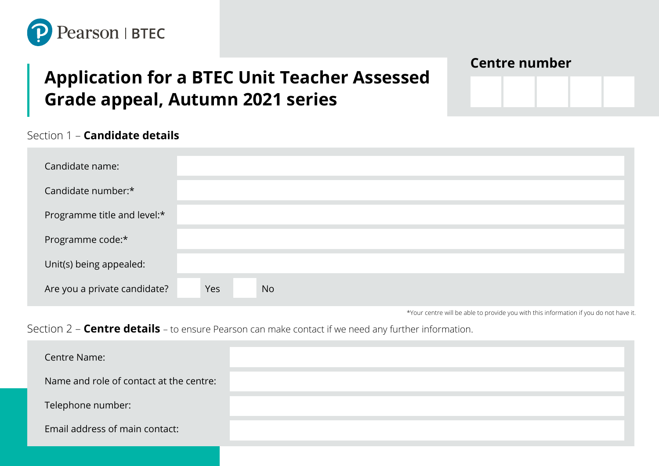

# **Application for a BTEC Unit Teacher Assessed Grade appeal, Autumn 2021 series**

## **Centre number**

### Section 1 – **Candidate details**

| Candidate name:              |     |           |  |  |  |  |
|------------------------------|-----|-----------|--|--|--|--|
| Candidate number:*           |     |           |  |  |  |  |
| Programme title and level:*  |     |           |  |  |  |  |
| Programme code:*             |     |           |  |  |  |  |
| Unit(s) being appealed:      |     |           |  |  |  |  |
| Are you a private candidate? | Yes | <b>No</b> |  |  |  |  |

\*Your centre will be able to provide you with this information if you do not have it.

## Section 2 – **Centre details** – to ensure Pearson can make contact if we need any further information.

| Centre Name:                            |  |
|-----------------------------------------|--|
| Name and role of contact at the centre: |  |
| Telephone number:                       |  |
| Email address of main contact:          |  |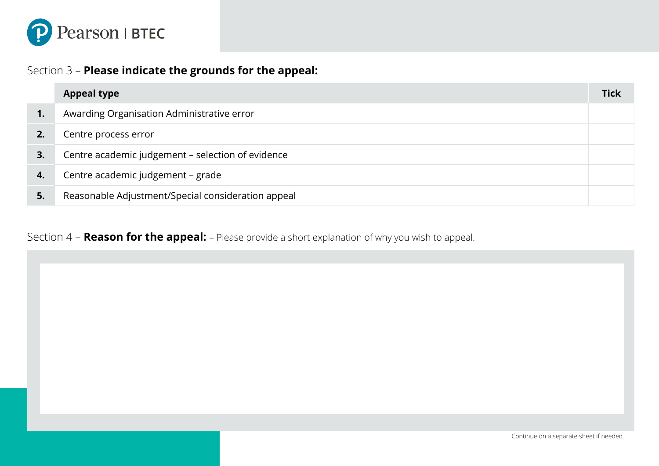

## Section 3 – **Please indicate the grounds for the appeal:**

|                | <b>Appeal type</b>                                 | <b>Tick</b> |
|----------------|----------------------------------------------------|-------------|
| $\mathbf{1}$ . | Awarding Organisation Administrative error         |             |
|                | Centre process error                               |             |
| 3.             | Centre academic judgement - selection of evidence  |             |
| 4.             | Centre academic judgement - grade                  |             |
| 5.             | Reasonable Adjustment/Special consideration appeal |             |

Section 4 – **Reason for the appeal:** – Please provide a short explanation of why you wish to appeal.